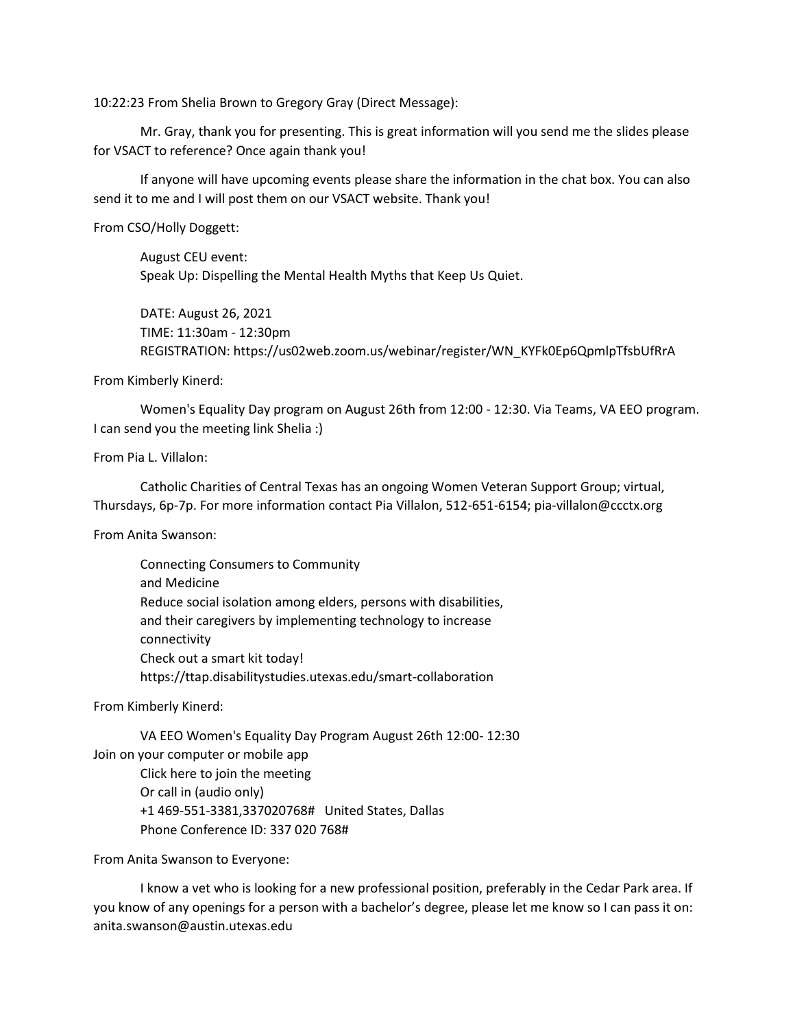10:22:23 From Shelia Brown to Gregory Gray (Direct Message):

Mr. Gray, thank you for presenting. This is great information will you send me the slides please for VSACT to reference? Once again thank you!

If anyone will have upcoming events please share the information in the chat box. You can also send it to me and I will post them on our VSACT website. Thank you!

From CSO/Holly Doggett:

August CEU event: Speak Up: Dispelling the Mental Health Myths that Keep Us Quiet.

DATE: August 26, 2021 TIME: 11:30am - 12:30pm REGISTRATION: https://us02web.zoom.us/webinar/register/WN\_KYFk0Ep6QpmlpTfsbUfRrA

From Kimberly Kinerd:

Women's Equality Day program on August 26th from 12:00 - 12:30. Via Teams, VA EEO program. I can send you the meeting link Shelia :)

From Pia L. Villalon:

Catholic Charities of Central Texas has an ongoing Women Veteran Support Group; virtual, Thursdays, 6p-7p. For more information contact Pia Villalon, 512-651-6154; pia-villalon@ccctx.org

From Anita Swanson:

Connecting Consumers to Community and Medicine Reduce social isolation among elders, persons with disabilities, and their caregivers by implementing technology to increase connectivity Check out a smart kit today! https://ttap.disabilitystudies.utexas.edu/smart-collaboration

From Kimberly Kinerd:

VA EEO Women's Equality Day Program August 26th 12:00- 12:30 Join on your computer or mobile app Click here to join the meeting Or call in (audio only) +1 469-551-3381,337020768# United States, Dallas Phone Conference ID: 337 020 768#

From Anita Swanson to Everyone:

I know a vet who is looking for a new professional position, preferably in the Cedar Park area. If you know of any openings for a person with a bachelor's degree, please let me know so I can pass it on: anita.swanson@austin.utexas.edu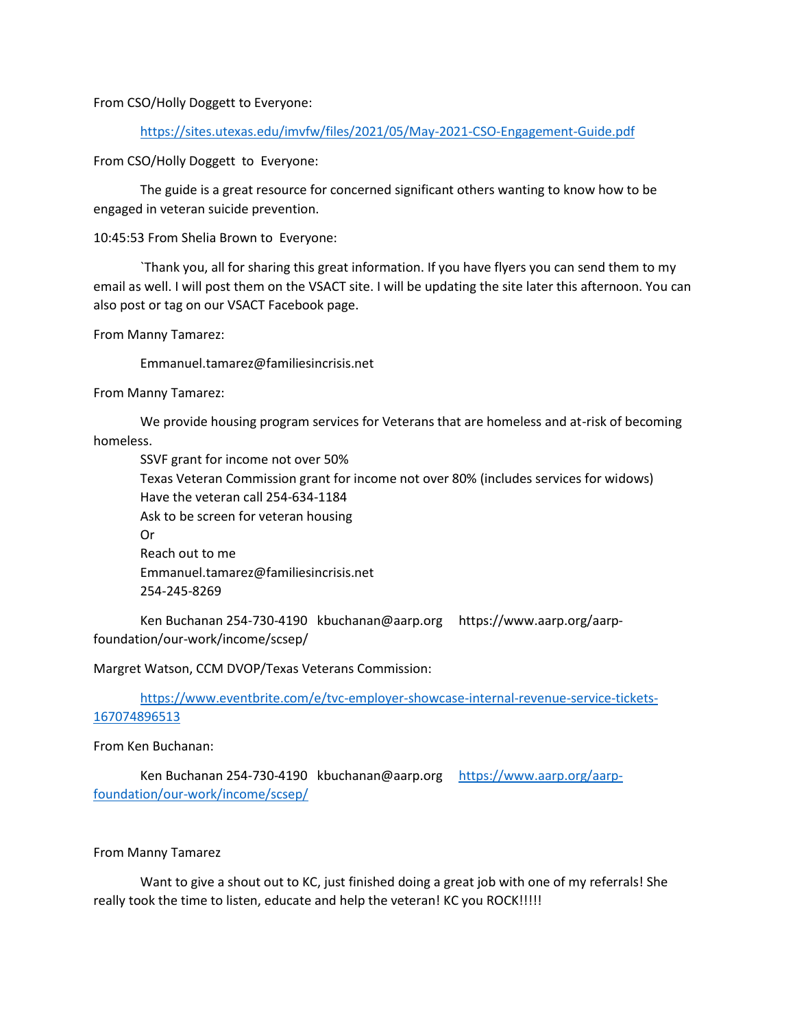From CSO/Holly Doggett to Everyone:

<https://sites.utexas.edu/imvfw/files/2021/05/May-2021-CSO-Engagement-Guide.pdf>

From CSO/Holly Doggett to Everyone:

The guide is a great resource for concerned significant others wanting to know how to be engaged in veteran suicide prevention.

10:45:53 From Shelia Brown to Everyone:

`Thank you, all for sharing this great information. If you have flyers you can send them to my email as well. I will post them on the VSACT site. I will be updating the site later this afternoon. You can also post or tag on our VSACT Facebook page.

From Manny Tamarez:

Emmanuel.tamarez@familiesincrisis.net

From Manny Tamarez:

We provide housing program services for Veterans that are homeless and at-risk of becoming homeless.

SSVF grant for income not over 50% Texas Veteran Commission grant for income not over 80% (includes services for widows) Have the veteran call 254-634-1184 Ask to be screen for veteran housing Or Reach out to me Emmanuel.tamarez@familiesincrisis.net 254-245-8269

Ken Buchanan 254-730-4190 kbuchanan@aarp.org https://www.aarp.org/aarpfoundation/our-work/income/scsep/

Margret Watson, CCM DVOP/Texas Veterans Commission:

[https://www.eventbrite.com/e/tvc-employer-showcase-internal-revenue-service-tickets-](https://www.eventbrite.com/e/tvc-employer-showcase-internal-revenue-service-tickets-167074896513)[167074896513](https://www.eventbrite.com/e/tvc-employer-showcase-internal-revenue-service-tickets-167074896513)

From Ken Buchanan:

Ken Buchanan 254-730-4190 kbuchanan@aarp.org [https://www.aarp.org/aarp](https://www.aarp.org/aarp-foundation/our-work/income/scsep/)[foundation/our-work/income/scsep/](https://www.aarp.org/aarp-foundation/our-work/income/scsep/)

## From Manny Tamarez

Want to give a shout out to KC, just finished doing a great job with one of my referrals! She really took the time to listen, educate and help the veteran! KC you ROCK!!!!!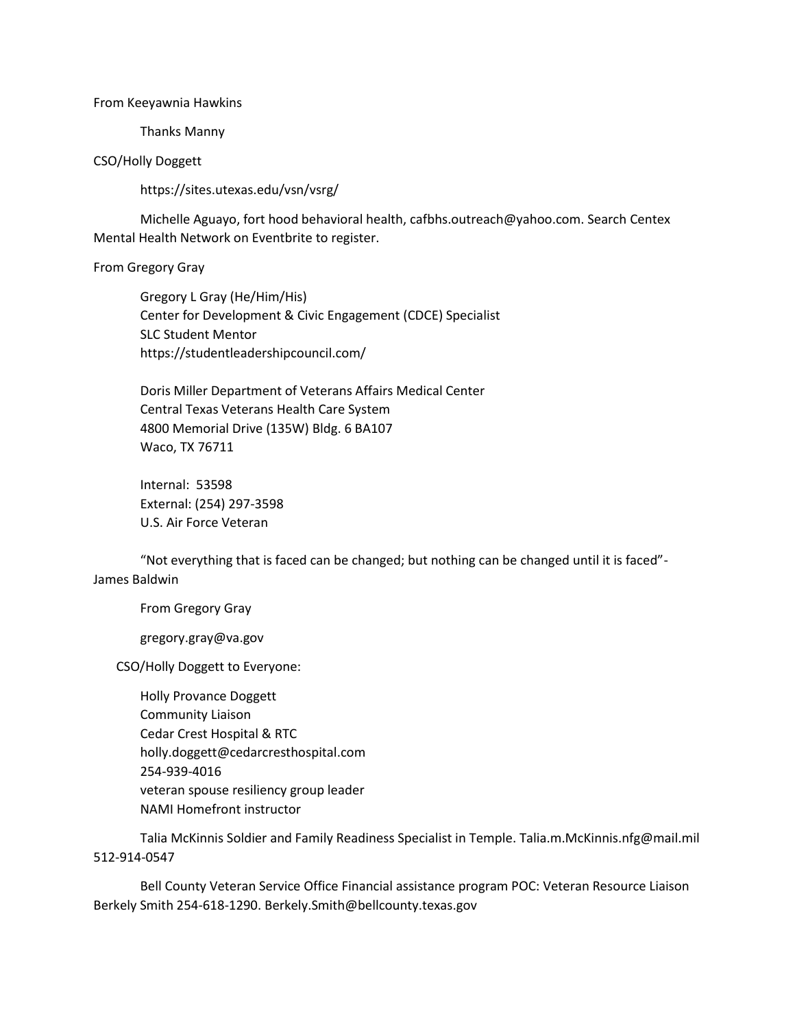## From Keeyawnia Hawkins

Thanks Manny

## CSO/Holly Doggett

https://sites.utexas.edu/vsn/vsrg/

Michelle Aguayo, fort hood behavioral health, cafbhs.outreach@yahoo.com. Search Centex Mental Health Network on Eventbrite to register.

## From Gregory Gray

Gregory L Gray (He/Him/His) Center for Development & Civic Engagement (CDCE) Specialist SLC Student Mentor https://studentleadershipcouncil.com/

Doris Miller Department of Veterans Affairs Medical Center Central Texas Veterans Health Care System 4800 Memorial Drive (135W) Bldg. 6 BA107 Waco, TX 76711

Internal: 53598 External: (254) 297-3598 U.S. Air Force Veteran

"Not everything that is faced can be changed; but nothing can be changed until it is faced"- James Baldwin

From Gregory Gray

gregory.gray@va.gov

CSO/Holly Doggett to Everyone:

Holly Provance Doggett Community Liaison Cedar Crest Hospital & RTC holly.doggett@cedarcresthospital.com 254-939-4016 veteran spouse resiliency group leader NAMI Homefront instructor

Talia McKinnis Soldier and Family Readiness Specialist in Temple. Talia.m.McKinnis.nfg@mail.mil 512-914-0547

Bell County Veteran Service Office Financial assistance program POC: Veteran Resource Liaison Berkely Smith 254-618-1290. Berkely.Smith@bellcounty.texas.gov